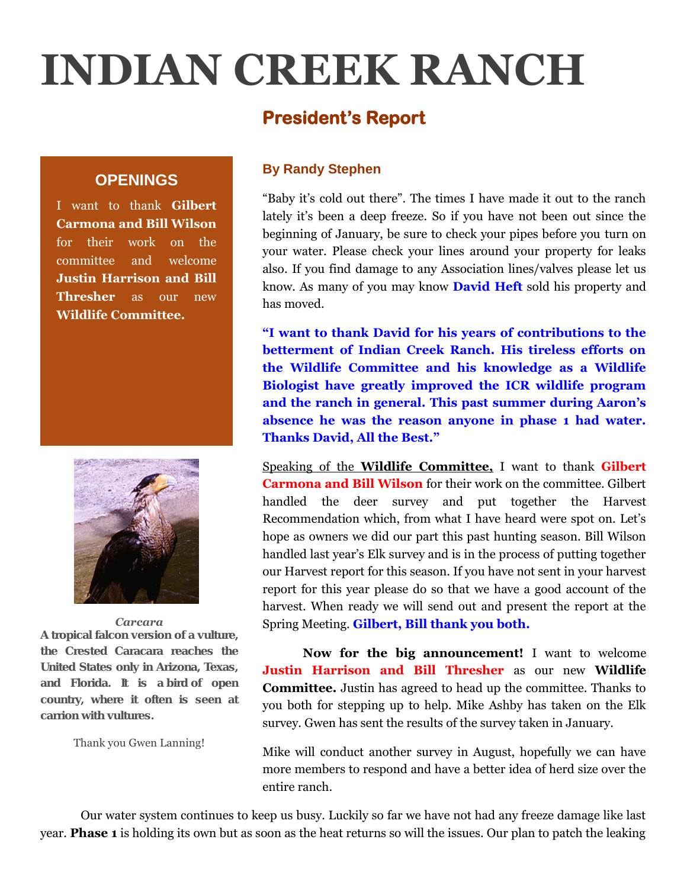# **INDIAN CREEK RANCH**

# **President's Report**

## **OPENINGS**

I want to thank **Gilbert Carmona and Bill Wilson**  for their work on the committee and welcome **Justin Harrison and Bill Thresher** as our new **Wildlife Committee.**



#### *Carcara*

*A tropical falcon version of a vulture, the Crested Caracara reaches the United States only in Arizona, Texas, and Florida. It is a bird of open country, where it often is seen at carrion with vultures.*

#### Thank you Gwen Lanning!

## **By Randy Stephen**

"Baby it's cold out there". The times I have made it out to the ranch lately it's been a deep freeze. So if you have not been out since the beginning of January, be sure to check your pipes before you turn on your water. Please check your lines around your property for leaks also. If you find damage to any Association lines/valves please let us know. As many of you may know **David Heft** sold his property and has moved.

**"I want to thank David for his years of contributions to the betterment of Indian Creek Ranch. His tireless efforts on the Wildlife Committee and his knowledge as a Wildlife Biologist have greatly improved the ICR wildlife program and the ranch in general. This past summer during Aaron's absence he was the reason anyone in phase 1 had water. Thanks David, All the Best."**

Speaking of the **Wildlife Committee,** I want to thank **Gilbert Carmona and Bill Wilson** for their work on the committee. Gilbert handled the deer survey and put together the Harvest Recommendation which, from what I have heard were spot on. Let's hope as owners we did our part this past hunting season. Bill Wilson handled last year's Elk survey and is in the process of putting together our Harvest report for this season. If you have not sent in your harvest report for this year please do so that we have a good account of the harvest. When ready we will send out and present the report at the Spring Meeting. **Gilbert, Bill thank you both.**

**Now for the big announcement!** I want to welcome **Justin Harrison and Bill Thresher** as our new **Wildlife Committee.** Justin has agreed to head up the committee. Thanks to you both for stepping up to help. Mike Ashby has taken on the Elk survey. Gwen has sent the results of the survey taken in January.

Mike will conduct another survey in August, hopefully we can have more members to respond and have a better idea of herd size over the entire ranch.

Our water system continues to keep us busy. Luckily so far we have not had any freeze damage like last year. **Phase 1** is holding its own but as soon as the heat returns so will the issues. Our plan to patch the leaking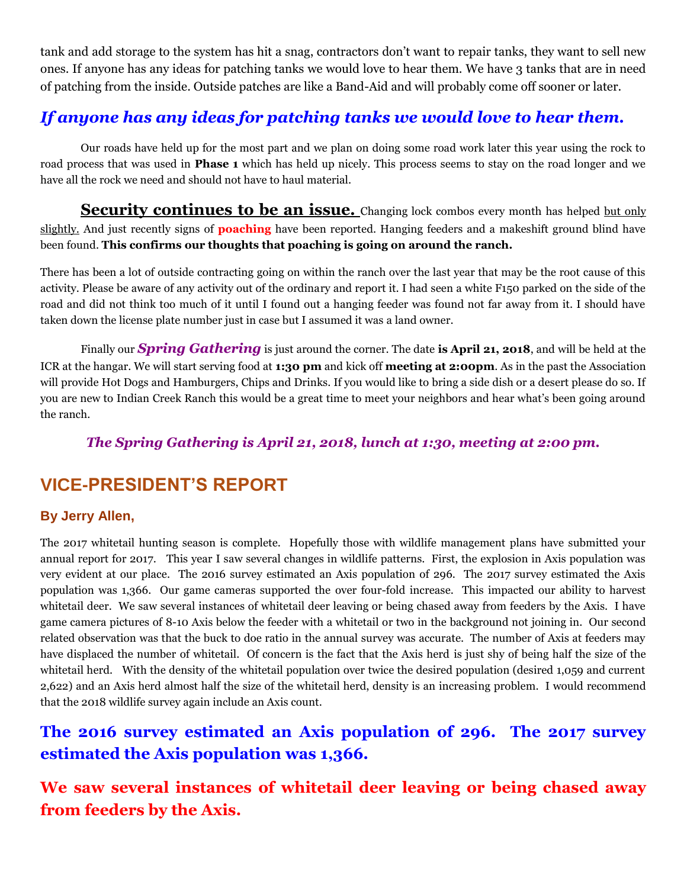tank and add storage to the system has hit a snag, contractors don't want to repair tanks, they want to sell new ones. If anyone has any ideas for patching tanks we would love to hear them. We have 3 tanks that are in need of patching from the inside. Outside patches are like a Band-Aid and will probably come off sooner or later.

# *If anyone has any ideas for patching tanks we would love to hear them.*

Our roads have held up for the most part and we plan on doing some road work later this year using the rock to road process that was used in **Phase 1** which has held up nicely. This process seems to stay on the road longer and we have all the rock we need and should not have to haul material.

**Security continues to be an issue.** Changing lock combos every month has helped but only slightly. And just recently signs of **poaching** have been reported. Hanging feeders and a makeshift ground blind have been found. **This confirms our thoughts that poaching is going on around the ranch.**

There has been a lot of outside contracting going on within the ranch over the last year that may be the root cause of this activity. Please be aware of any activity out of the ordinary and report it. I had seen a white F150 parked on the side of the road and did not think too much of it until I found out a hanging feeder was found not far away from it. I should have taken down the license plate number just in case but I assumed it was a land owner.

Finally our *Spring Gathering* is just around the corner. The date **is April 21, 2018**, and will be held at the ICR at the hangar. We will start serving food at **1:30 pm** and kick off **meeting at 2:00pm**. As in the past the Association will provide Hot Dogs and Hamburgers, Chips and Drinks. If you would like to bring a side dish or a desert please do so. If you are new to Indian Creek Ranch this would be a great time to meet your neighbors and hear what's been going around the ranch.

## *The Spring Gathering is April 21, 2018, lunch at 1:30, meeting at 2:00 pm.*

# **VICE-PRESIDENT'S REPORT**

## **By Jerry Allen,**

The 2017 whitetail hunting season is complete. Hopefully those with wildlife management plans have submitted your annual report for 2017. This year I saw several changes in wildlife patterns. First, the explosion in Axis population was very evident at our place. The 2016 survey estimated an Axis population of 296. The 2017 survey estimated the Axis population was 1,366. Our game cameras supported the over four-fold increase. This impacted our ability to harvest whitetail deer. We saw several instances of whitetail deer leaving or being chased away from feeders by the Axis. I have game camera pictures of 8-10 Axis below the feeder with a whitetail or two in the background not joining in. Our second related observation was that the buck to doe ratio in the annual survey was accurate. The number of Axis at feeders may have displaced the number of whitetail. Of concern is the fact that the Axis herd is just shy of being half the size of the whitetail herd. With the density of the whitetail population over twice the desired population (desired 1,059 and current 2,622) and an Axis herd almost half the size of the whitetail herd, density is an increasing problem. I would recommend that the 2018 wildlife survey again include an Axis count.

# **The 2016 survey estimated an Axis population of 296. The 2017 survey estimated the Axis population was 1,366.**

**We saw several instances of whitetail deer leaving or being chased away from feeders by the Axis.**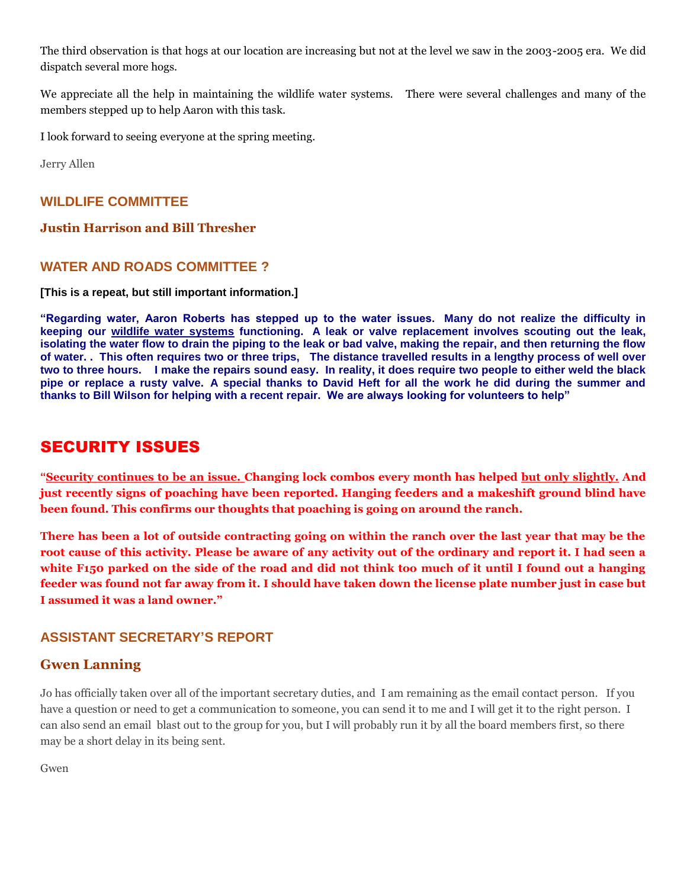The third observation is that hogs at our location are increasing but not at the level we saw in the 2003-2005 era. We did dispatch several more hogs.

We appreciate all the help in maintaining the wildlife water systems. There were several challenges and many of the members stepped up to help Aaron with this task.

I look forward to seeing everyone at the spring meeting.

Jerry Allen

#### **WILDLIFE COMMITTEE**

#### **Justin Harrison and Bill Thresher**

#### **WATER AND ROADS COMMITTEE ?**

#### **[This is a repeat, but still important information.]**

**"Regarding water, Aaron Roberts has stepped up to the water issues. Many do not realize the difficulty in keeping our wildlife water systems functioning. A leak or valve replacement involves scouting out the leak, isolating the water flow to drain the piping to the leak or bad valve, making the repair, and then returning the flow of water. . This often requires two or three trips, The distance travelled results in a lengthy process of well over two to three hours. I make the repairs sound easy. In reality, it does require two people to either weld the black pipe or replace a rusty valve. A special thanks to David Heft for all the work he did during the summer and thanks to Bill Wilson for helping with a recent repair. We are always looking for volunteers to help"**

## SECURITY ISSUES

**"Security continues to be an issue. Changing lock combos every month has helped but only slightly. And just recently signs of poaching have been reported. Hanging feeders and a makeshift ground blind have been found. This confirms our thoughts that poaching is going on around the ranch.**

**There has been a lot of outside contracting going on within the ranch over the last year that may be the root cause of this activity. Please be aware of any activity out of the ordinary and report it. I had seen a white F150 parked on the side of the road and did not think too much of it until I found out a hanging feeder was found not far away from it. I should have taken down the license plate number just in case but I assumed it was a land owner."**

#### **ASSISTANT SECRETARY'S REPORT**

#### **Gwen Lanning**

Jo has officially taken over all of the important secretary duties, and I am remaining as the email contact person. If you have a question or need to get a communication to someone, you can send it to me and I will get it to the right person. I can also send an email blast out to the group for you, but I will probably run it by all the board members first, so there may be a short delay in its being sent.

Gwen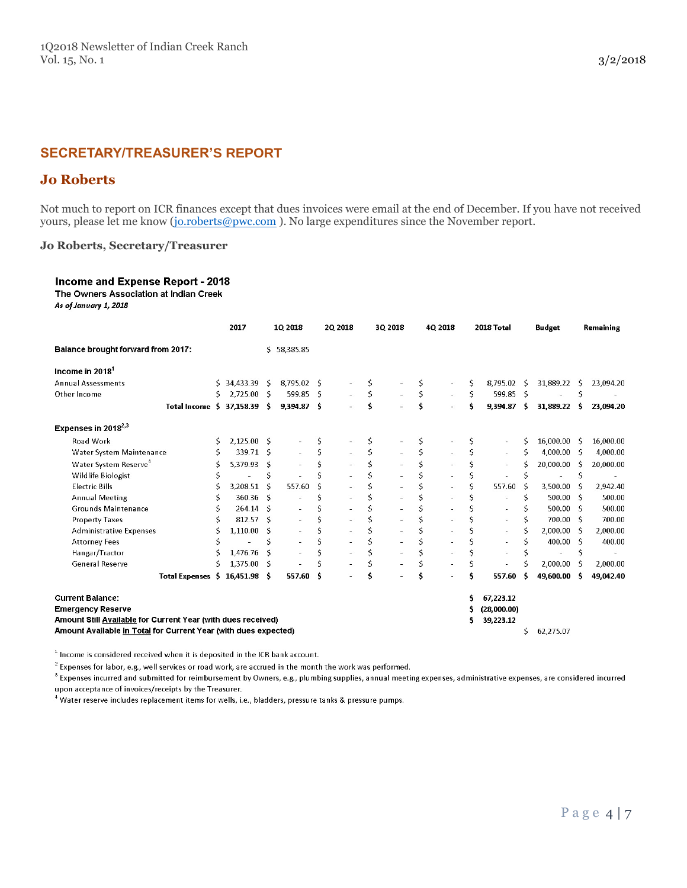## **SECRETARY/TREASURER'S REPORT**

### **Jo Roberts**

Not much to report on ICR finances except that dues invoices were email at the end of December. If you have not received yours, please let me know [\(jo.roberts@pwc.com](mailto:jo.roberts@pwc.com)). No large expenditures since the November report.

#### **Jo Roberts, Secretary/Treasurer**

#### Income and Expense Report - 2018 The Owners Association at Indian Creek

As of January 1, 2018

|                                                                                                                                                                                                                                                                   |                          | 2017         |     | 1Q 2018                  |     | 2Q 2018        |    | 3Q 2018 |    | 4Q 2018        |    | 2018 Total               |    | <b>Budget</b> |     | Remaining |
|-------------------------------------------------------------------------------------------------------------------------------------------------------------------------------------------------------------------------------------------------------------------|--------------------------|--------------|-----|--------------------------|-----|----------------|----|---------|----|----------------|----|--------------------------|----|---------------|-----|-----------|
| <b>Balance brought forward from 2017:</b>                                                                                                                                                                                                                         |                          |              |     | \$58,385.85              |     |                |    |         |    |                |    |                          |    |               |     |           |
| Income in 2018                                                                                                                                                                                                                                                    |                          |              |     |                          |     |                |    |         |    |                |    |                          |    |               |     |           |
| <b>Annual Assessments</b>                                                                                                                                                                                                                                         | S.                       | 34,433.39    | -S  | 8,795.02 \$              |     |                | Ś  |         | \$ |                | Ś  | 8.795.02                 | -S | 31,889.22     | S.  | 23,094.20 |
| Other Income                                                                                                                                                                                                                                                      | Ś                        | 2,725.00 \$  |     | 599.85 \$                |     | $\sim$         | Ś  | $\sim$  | \$ | $\sim$         | Ś  | 599.85                   | -S |               | Ś   |           |
|                                                                                                                                                                                                                                                                   | Total Income \$          | 37,158.39    | -S  | 9,394.87 \$              |     | $\blacksquare$ | \$ |         | Ś  |                | \$ | 9,394.87                 | -S | 31,889.22     | Ŝ   | 23.094.20 |
| Expenses in 2018 $^{2,3}$                                                                                                                                                                                                                                         |                          |              |     |                          |     |                |    |         |    |                |    |                          |    |               |     |           |
| Road Work                                                                                                                                                                                                                                                         | Ś                        | 2,125.00 \$  |     |                          | \$  |                | \$ |         | S  |                | S  |                          | Ś  | 16.000.00     | -S  | 16,000.00 |
| Water System Maintenance                                                                                                                                                                                                                                          |                          | 339.71 \$    |     |                          | \$  |                | \$ |         | Ś  |                | Ś  | $\overline{\phantom{a}}$ | \$ | 4,000.00 \$   |     | 4,000.00  |
| Water System Reserve <sup>4</sup>                                                                                                                                                                                                                                 | Ś                        | 5,379.93     | -Ŝ  |                          | Ś   |                | Ś  |         | \$ |                | \$ |                          | Ś  | 20,000.00     | -S  | 20,000.00 |
| Wildlife Biologist                                                                                                                                                                                                                                                |                          |              | \$  |                          |     |                |    |         | \$ |                | \$ |                          | Ś  | ÷.            | Ś   |           |
| <b>Electric Bills</b>                                                                                                                                                                                                                                             | S                        | 3,208.51     | Ŝ   | 557.60                   | Ś   |                |    |         | \$ |                | \$ | 557.60                   | S  | 3,500.00      | S   | 2,942.40  |
| <b>Annual Meeting</b>                                                                                                                                                                                                                                             |                          | 360.36       | - S |                          | Ś   |                |    |         | \$ |                | \$ |                          | Ś  | 500.00        | - S | 500.00    |
| <b>Grounds Maintenance</b>                                                                                                                                                                                                                                        |                          | $264.14$ S   |     |                          | Ś   |                |    |         | Ś  |                |    |                          |    | 500.00        | - Ś | 500.00    |
| <b>Property Taxes</b>                                                                                                                                                                                                                                             |                          | 812.57       | -Ś  | $\overline{\phantom{a}}$ |     |                |    |         |    |                |    |                          | Ś  | 700.00 S      |     | 700.00    |
| <b>Administrative Expenses</b>                                                                                                                                                                                                                                    |                          | 1,110.00     | Ŝ   | $\sim$                   | Ś   | $\equiv$       |    | $\sim$  | Ś  | ÷.             | Ś  | $\overline{\phantom{a}}$ | Ś  | 2,000.00      | - S | 2,000.00  |
| <b>Attorney Fees</b>                                                                                                                                                                                                                                              |                          |              | Ś   |                          | Ś   |                |    |         | \$ |                |    |                          | Ś  | 400.00 S      |     | 400.00    |
| Hangar/Tractor                                                                                                                                                                                                                                                    |                          | 1.476.76     | Ś   |                          |     | ٠              |    | ä,      | \$ |                |    |                          |    |               | Ś   |           |
| <b>General Reserve</b>                                                                                                                                                                                                                                            | Ś                        | 1,375.00     | -S  |                          |     |                | Ś  |         | Ś  | $\overline{a}$ | Ś  |                          |    | 2,000.00      | S   | 2,000.00  |
|                                                                                                                                                                                                                                                                   | <b>Total Expenses</b> \$ | 16,451.98 \$ |     | 557.60                   | - S |                | Ŝ  |         |    |                | \$ | 557.60                   | S  | 49.600.00     | Ŝ   | 49,042.40 |
| <b>Current Balance:</b><br>67,223.12<br>Ś<br><b>Emergency Reserve</b><br>(28,000.00)<br>s<br>Amount Still Available for Current Year (with dues received)<br>39,223.12<br>s<br>Amount Available in Total for Current Year (with dues expected)<br>\$<br>62,275.07 |                          |              |     |                          |     |                |    |         |    |                |    |                          |    |               |     |           |

 $1$  Income is considered received when it is deposited in the ICR bank account.

 $2$  Expenses for labor, e.g., well services or road work, are accrued in the month the work was performed.

 $\,^3$  Expenses incurred and submitted for reimbursement by Owners, e.g., plumbing supplies, annual meeting expenses, administrative expenses, are considered incurred upon acceptance of invoices/receipts by the Treasurer.

 $^4$  Water reserve includes replacement items for wells, i.e., bladders, pressure tanks & pressure pumps.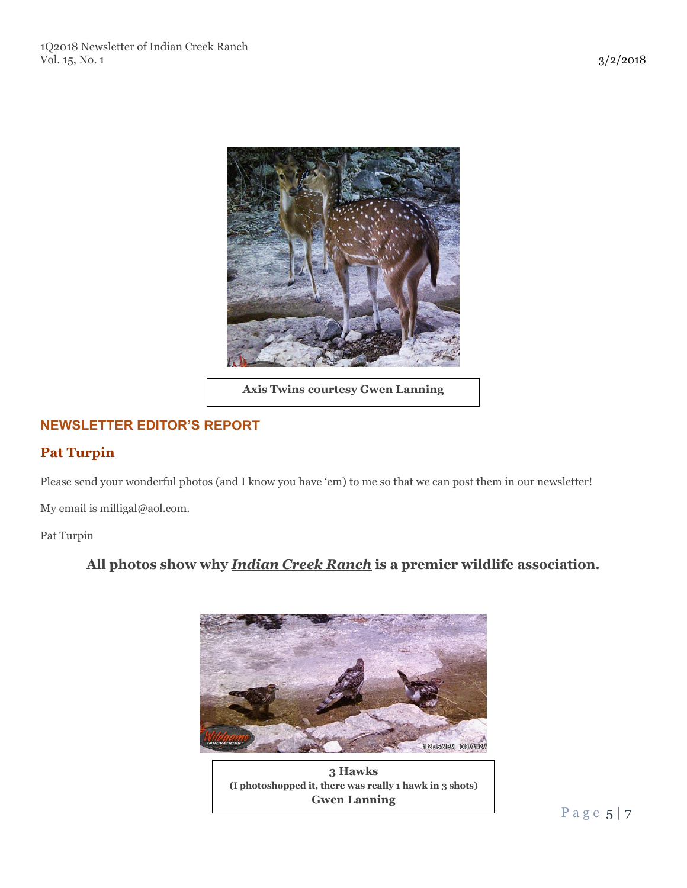

**Axis Twins courtesy Gwen Lanning**

## **NEWSLETTER EDITOR'S REPORT**

## **Pat Turpin**

Please send your wonderful photos (and I know you have 'em) to me so that we can post them in our newsletter!

My email is milligal@aol.com.

Pat Turpin

## **All photos show why** *Indian Creek Ranch* **is a premier wildlife association.**



**3 Hawks (I photoshopped it, there was really 1 hawk in 3 shots) Gwen Lanning**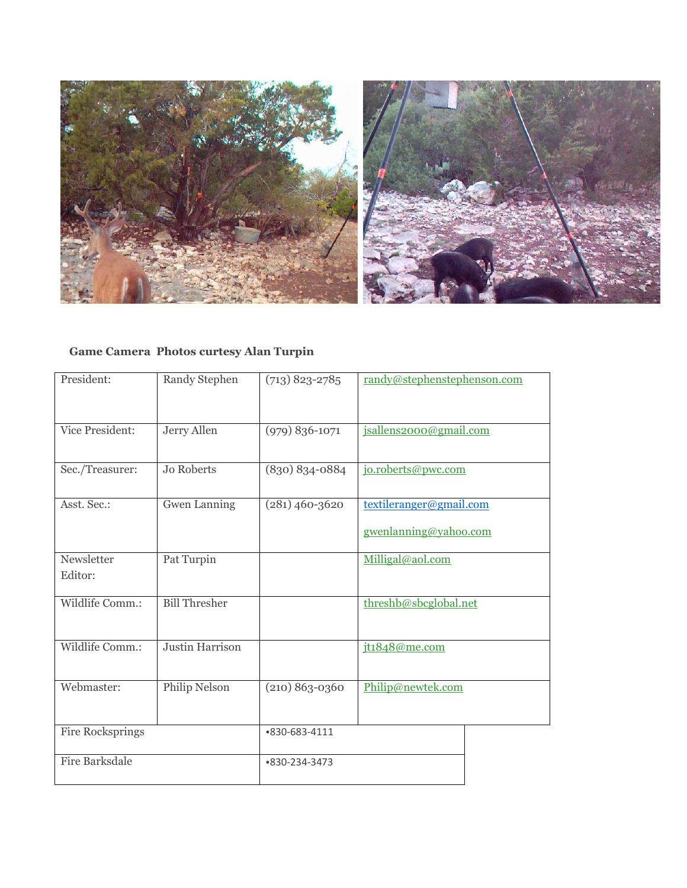

## **Game Camera Photos curtesy Alan Turpin**

| President:            | Randy Stephen          | $(713)$ 823-2785   | randy@stephenstephenson.com |  |  |  |  |  |
|-----------------------|------------------------|--------------------|-----------------------------|--|--|--|--|--|
|                       |                        |                    |                             |  |  |  |  |  |
|                       |                        |                    |                             |  |  |  |  |  |
|                       |                        |                    |                             |  |  |  |  |  |
| Vice President:       | Jerry Allen            | $(979) 836 - 1071$ | jsallens2000@gmail.com      |  |  |  |  |  |
|                       |                        |                    |                             |  |  |  |  |  |
|                       |                        |                    |                             |  |  |  |  |  |
| Sec./Treasurer:       | <b>Jo Roberts</b>      | (830) 834-0884     | jo.roberts@pwc.com          |  |  |  |  |  |
|                       |                        |                    |                             |  |  |  |  |  |
| Asst. Sec.:           | <b>Gwen Lanning</b>    | $(281)$ 460-3620   | textileranger@gmail.com     |  |  |  |  |  |
|                       |                        |                    |                             |  |  |  |  |  |
|                       |                        |                    | gwenlanning@yahoo.com       |  |  |  |  |  |
|                       |                        |                    |                             |  |  |  |  |  |
| Newsletter            | Pat Turpin             |                    | Milligal@aol.com            |  |  |  |  |  |
| Editor:               |                        |                    |                             |  |  |  |  |  |
|                       |                        |                    |                             |  |  |  |  |  |
| Wildlife Comm.:       | <b>Bill Thresher</b>   |                    | threshb@sbcglobal.net       |  |  |  |  |  |
|                       |                        |                    |                             |  |  |  |  |  |
|                       |                        |                    |                             |  |  |  |  |  |
| Wildlife Comm.:       | <b>Justin Harrison</b> |                    | jt1848@me.com               |  |  |  |  |  |
|                       |                        |                    |                             |  |  |  |  |  |
|                       |                        |                    |                             |  |  |  |  |  |
| Webmaster:            | Philip Nelson          | $(210) 863 - 0360$ | Philip@newtek.com           |  |  |  |  |  |
|                       |                        |                    |                             |  |  |  |  |  |
|                       |                        |                    |                             |  |  |  |  |  |
| Fire Rocksprings      |                        | •830-683-4111      |                             |  |  |  |  |  |
|                       |                        |                    |                             |  |  |  |  |  |
| <b>Fire Barksdale</b> |                        |                    |                             |  |  |  |  |  |
|                       |                        | •830-234-3473      |                             |  |  |  |  |  |
|                       |                        |                    |                             |  |  |  |  |  |